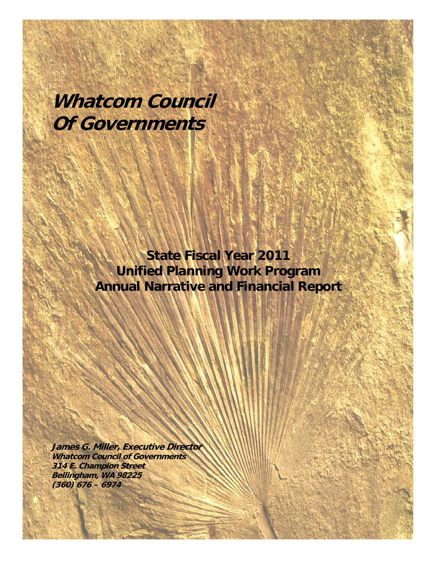# **Whatcom Council Of Governments**

**State Fiscal Year 2011 Unified Planning Work Program Annual Narrative and Financial Report** 

**James G. Miller, Executive Director Whatcom Council of Governments 314 E. Champion Street Bellingham, WA 98225 (360) 676 – 6974**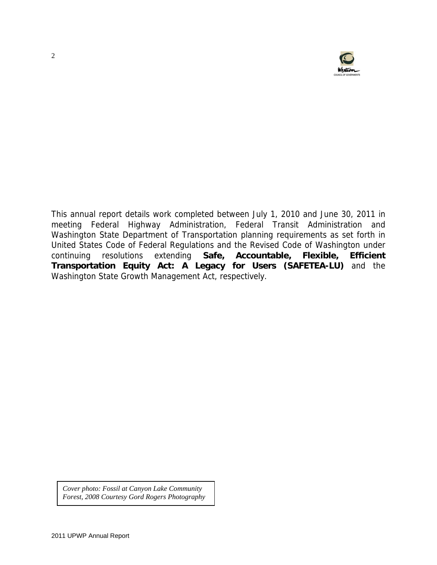

This annual report details work completed between July 1, 2010 and June 30, 2011 in meeting Federal Highway Administration, Federal Transit Administration and Washington State Department of Transportation planning requirements as set forth in United States Code of Federal Regulations and the Revised Code of Washington under continuing resolutions extending **Safe, Accountable, Flexible, Efficient Transportation Equity Act: A Legacy for Users (SAFETEA-LU)** and the Washington State Growth Management Act, respectively.

*Cover photo: Fossil at Canyon Lake Community Forest, 2008 Courtesy Gord Rogers Photography*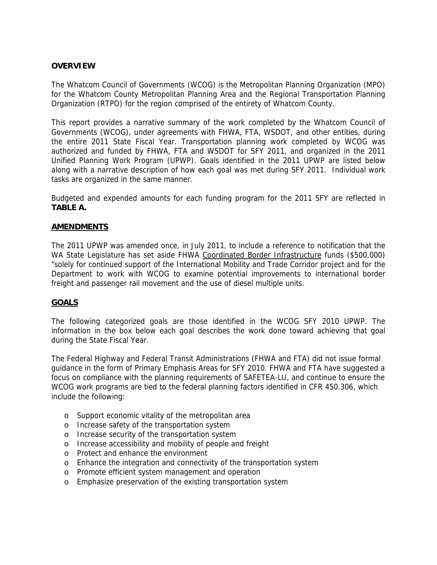#### **OVERVIEW**

The Whatcom Council of Governments (WCOG) is the Metropolitan Planning Organization (MPO) for the Whatcom County Metropolitan Planning Area and the Regional Transportation Planning Organization (RTPO) for the region comprised of the entirety of Whatcom County.

This report provides a narrative summary of the work completed by the Whatcom Council of Governments (WCOG), under agreements with FHWA, FTA, WSDOT, and other entities, during the entire 2011 State Fiscal Year. Transportation planning work completed by WCOG was authorized and funded by FHWA, FTA and WSDOT for SFY 2011, and organized in the 2011 Unified Planning Work Program (UPWP). Goals identified in the 2011 UPWP are listed below along with a narrative description of how each goal was met during SFY 2011. Individual work tasks are organized in the same manner.

Budgeted and expended amounts for each funding program for the 2011 SFY are reflected in **TABLE A.** 

#### **AMENDMENTS**

The 2011 UPWP was amended once, in July 2011, to include a reference to notification that the WA State Legislature has set aside FHWA Coordinated Border Infrastructure funds (\$500,000) "solely for continued support of the International Mobility and Trade Corridor project and for the Department to work with WCOG to examine potential improvements to international border freight and passenger rail movement and the use of diesel multiple units.

# **GOALS**

The following categorized goals are those identified in the WCOG SFY 2010 UPWP. The information in the box below each goal describes the work done toward achieving that goal during the State Fiscal Year.

The Federal Highway and Federal Transit Administrations (FHWA and FTA) did not issue formal guidance in the form of Primary Emphasis Areas for SFY 2010. FHWA and FTA have suggested a focus on compliance with the planning requirements of SAFETEA-LU, and continue to ensure the WCOG work programs are tied to the federal planning factors identified in CFR 450.306, which include the following:

- o Support economic vitality of the metropolitan area
- o Increase safety of the transportation system
- o Increase security of the transportation system
- o Increase accessibility and mobility of people and freight
- o Protect and enhance the environment
- o Enhance the integration and connectivity of the transportation system
- o Promote efficient system management and operation
- o Emphasize preservation of the existing transportation system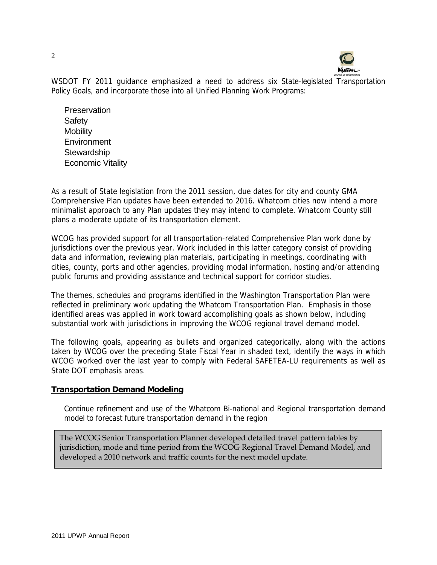

WSDOT FY 2011 guidance emphasized a need to address six State-legislated Transportation Policy Goals, and incorporate those into all Unified Planning Work Programs:

**Preservation Safety Mobility Environment Stewardship** Economic Vitality

As a result of State legislation from the 2011 session, due dates for city and county GMA Comprehensive Plan updates have been extended to 2016. Whatcom cities now intend a more minimalist approach to any Plan updates they may intend to complete. Whatcom County still plans a moderate update of its transportation element.

WCOG has provided support for all transportation-related Comprehensive Plan work done by jurisdictions over the previous year. Work included in this latter category consist of providing data and information, reviewing plan materials, participating in meetings, coordinating with cities, county, ports and other agencies, providing modal information, hosting and/or attending public forums and providing assistance and technical support for corridor studies.

The themes, schedules and programs identified in the Washington Transportation Plan were reflected in preliminary work updating the Whatcom Transportation Plan. Emphasis in those identified areas was applied in work toward accomplishing goals as shown below, including substantial work with jurisdictions in improving the WCOG regional travel demand model.

The following goals, appearing as bullets and organized categorically, along with the actions taken by WCOG over the preceding State Fiscal Year in shaded text, identify the ways in which WCOG worked over the last year to comply with Federal SAFETEA-LU requirements as well as State DOT emphasis areas.

#### **Transportation Demand Modeling**

Continue refinement and use of the Whatcom Bi-national and Regional transportation demand model to forecast future transportation demand in the region

The WCOG Senior Transportation Planner developed detailed travel pattern tables by jurisdiction, mode and time period from the WCOG Regional Travel Demand Model, and developed a 2010 network and traffic counts for the next model update.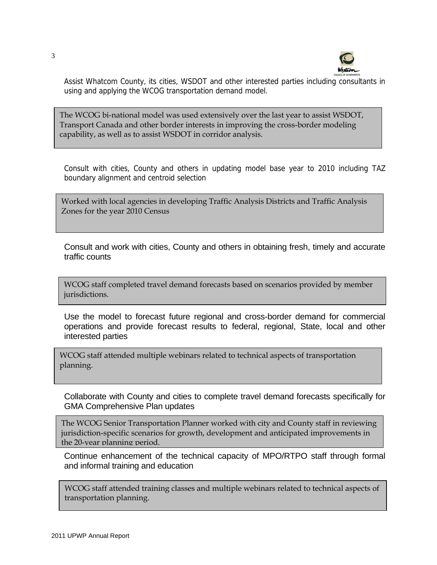

Assist Whatcom County, its cities, WSDOT and other interested parties including consultants in using and applying the WCOG transportation demand model.

The WCOG bi-national model was used extensively over the last year to assist WSDOT, Transport Canada and other border interests in improving the cross-border modeling capability, as well as to assist WSDOT in corridor analysis.

Consult with cities, County and others in updating model base year to 2010 including TAZ boundary alignment and centroid selection

Worked with local agencies in developing Traffic Analysis Districts and Traffic Analysis Zones for the year 2010 Census

 Consult and work with cities, County and others in obtaining fresh, timely and accurate traffic counts

WCOG staff completed travel demand forecasts based on scenarios provided by member jurisdictions.

 Use the model to forecast future regional and cross-border demand for commercial operations and provide forecast results to federal, regional, State, local and other interested parties

WCOG staff attended multiple webinars related to technical aspects of transportation planning.

 Collaborate with County and cities to complete travel demand forecasts specifically for GMA Comprehensive Plan updates

The WCOG Senior Transportation Planner worked with city and County staff in reviewing jurisdiction-specific scenarios for growth, development and anticipated improvements in the 20-year planning period.

 Continue enhancement of the technical capacity of MPO/RTPO staff through formal and informal training and education

WCOG staff attended training classes and multiple webinars related to technical aspects of transportation planning.

3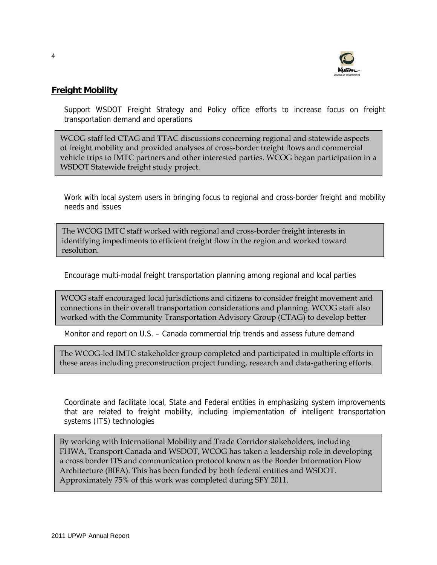

# **Freight Mobility**

Support WSDOT Freight Strategy and Policy office efforts to increase focus on freight transportation demand and operations

WCOG staff led CTAG and TTAC discussions concerning regional and statewide aspects of freight mobility and provided analyses of cross-border freight flows and commercial vehicle trips to IMTC partners and other interested parties. WCOG began participation in a WSDOT Statewide freight study project.

Work with local system users in bringing focus to regional and cross-border freight and mobility needs and issues

The WCOG IMTC staff worked with regional and cross-border freight interests in identifying impediments to efficient freight flow in the region and worked toward resolution.

Encourage multi-modal freight transportation planning among regional and local parties

WCOG staff encouraged local jurisdictions and citizens to consider freight movement and connections in their overall transportation considerations and planning. WCOG staff also worked with the Community Transportation Advisory Group (CTAG) to develop better

Monitor and report on U.S. – Canada commercial trip trends and assess future demand

The WCOG-led IMTC stakeholder group completed and participated in multiple efforts in these areas including preconstruction project funding, research and data-gathering efforts.

Coordinate and facilitate local, State and Federal entities in emphasizing system improvements that are related to freight mobility, including implementation of intelligent transportation systems (ITS) technologies

By working with International Mobility and Trade Corridor stakeholders, including FHWA, Transport Canada and WSDOT, WCOG has taken a leadership role in developing a cross border ITS and communication protocol known as the Border Information Flow Architecture (BIFA). This has been funded by both federal entities and WSDOT. Approximately 75% of this work was completed during SFY 2011.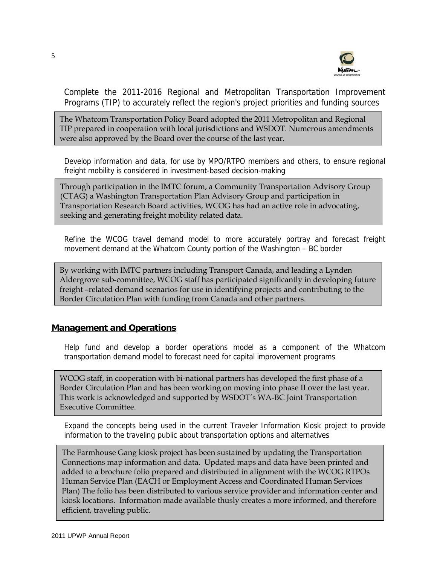

Complete the 2011-2016 Regional and Metropolitan Transportation Improvement Programs (TIP) to accurately reflect the region's project priorities and funding sources

The Whatcom Transportation Policy Board adopted the 2011 Metropolitan and Regional TIP prepared in cooperation with local jurisdictions and WSDOT. Numerous amendments were also approved by the Board over the course of the last year.

Develop information and data, for use by MPO/RTPO members and others, to ensure regional freight mobility is considered in investment-based decision-making

Through participation in the IMTC forum, a Community Transportation Advisory Group (CTAG) a Washington Transportation Plan Advisory Group and participation in Transportation Research Board activities, WCOG has had an active role in advocating, seeking and generating freight mobility related data.

Refine the WCOG travel demand model to more accurately portray and forecast freight movement demand at the Whatcom County portion of the Washington – BC border

By working with IMTC partners including Transport Canada, and leading a Lynden Aldergrove sub-committee, WCOG staff has participated significantly in developing future freight –related demand scenarios for use in identifying projects and contributing to the Border Circulation Plan with funding from Canada and other partners.

# **Management and Operations**

Help fund and develop a border operations model as a component of the Whatcom transportation demand model to forecast need for capital improvement programs

WCOG staff, in cooperation with bi-national partners has developed the first phase of a Border Circulation Plan and has been working on moving into phase II over the last year. This work is acknowledged and supported by WSDOT's WA-BC Joint Transportation Executive Committee.

Expand the concepts being used in the current Traveler Information Kiosk project to provide information to the traveling public about transportation options and alternatives

The Farmhouse Gang kiosk project has been sustained by updating the Transportation Connections map information and data. Updated maps and data have been printed and added to a brochure folio prepared and distributed in alignment with the WCOG RTPOs Human Service Plan (EACH or Employment Access and Coordinated Human Services Plan) The folio has been distributed to various service provider and information center and kiosk locations. Information made available thusly creates a more informed, and therefore efficient, traveling public.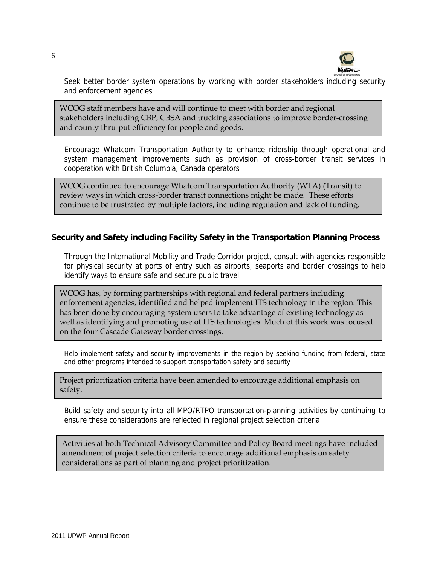

Seek better border system operations by working with border stakeholders including security and enforcement agencies

WCOG staff members have and will continue to meet with border and regional stakeholders including CBP, CBSA and trucking associations to improve border-crossing and county thru-put efficiency for people and goods.

Encourage Whatcom Transportation Authority to enhance ridership through operational and system management improvements such as provision of cross-border transit services in cooperation with British Columbia, Canada operators

WCOG continued to encourage Whatcom Transportation Authority (WTA) (Transit) to review ways in which cross-border transit connections might be made. These efforts continue to be frustrated by multiple factors, including regulation and lack of funding.

#### **Security and Safety including Facility Safety in the Transportation Planning Process**

Through the International Mobility and Trade Corridor project, consult with agencies responsible for physical security at ports of entry such as airports, seaports and border crossings to help identify ways to ensure safe and secure public travel

WCOG has, by forming partnerships with regional and federal partners including enforcement agencies, identified and helped implement ITS technology in the region. This has been done by encouraging system users to take advantage of existing technology as well as identifying and promoting use of ITS technologies. Much of this work was focused on the four Cascade Gateway border crossings.

Help implement safety and security improvements in the region by seeking funding from federal, state and other programs intended to support transportation safety and security

Project prioritization criteria have been amended to encourage additional emphasis on safety.

Build safety and security into all MPO/RTPO transportation-planning activities by continuing to ensure these considerations are reflected in regional project selection criteria

Activities at both Technical Advisory Committee and Policy Board meetings have included amendment of project selection criteria to encourage additional emphasis on safety considerations as part of planning and project prioritization.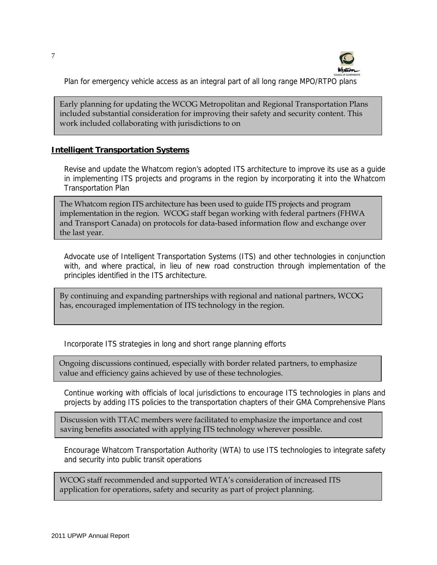

Plan for emergency vehicle access as an integral part of all long range MPO/RTPO plans

Early planning for updating the WCOG Metropolitan and Regional Transportation Plans included substantial consideration for improving their safety and security content. This work included collaborating with jurisdictions to on

#### **Intelligent Transportation Systems**

Revise and update the Whatcom region's adopted ITS architecture to improve its use as a guide in implementing ITS projects and programs in the region by incorporating it into the Whatcom Transportation Plan

The Whatcom region ITS architecture has been used to guide ITS projects and program implementation in the region. WCOG staff began working with federal partners (FHWA and Transport Canada) on protocols for data-based information flow and exchange over the last year.

Advocate use of Intelligent Transportation Systems (ITS) and other technologies in conjunction with, and where practical, in lieu of new road construction through implementation of the principles identified in the ITS architecture.

By continuing and expanding partnerships with regional and national partners, WCOG has, encouraged implementation of ITS technology in the region.

Incorporate ITS strategies in long and short range planning efforts

Ongoing discussions continued, especially with border related partners, to emphasize value and efficiency gains achieved by use of these technologies.

Continue working with officials of local jurisdictions to encourage ITS technologies in plans and projects by adding ITS policies to the transportation chapters of their GMA Comprehensive Plans

Discussion with TTAC members were facilitated to emphasize the importance and cost saving benefits associated with applying ITS technology wherever possible.

Encourage Whatcom Transportation Authority (WTA) to use ITS technologies to integrate safety and security into public transit operations

WCOG staff recommended and supported WTA's consideration of increased ITS application for operations, safety and security as part of project planning.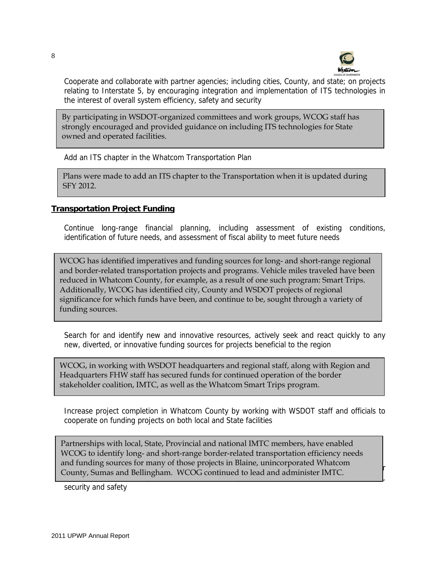

Cooperate and collaborate with partner agencies; including cities, County, and state; on projects relating to Interstate 5, by encouraging integration and implementation of ITS technologies in the interest of overall system efficiency, safety and security

By participating in WSDOT-organized committees and work groups, WCOG staff has strongly encouraged and provided guidance on including ITS technologies for State owned and operated facilities.

Add an ITS chapter in the Whatcom Transportation Plan

Plans were made to add an ITS chapter to the Transportation when it is updated during SFY 2012.

#### **Transportation Project Funding**

Continue long-range financial planning, including assessment of existing conditions, identification of future needs, and assessment of fiscal ability to meet future needs

WCOG has identified imperatives and funding sources for long- and short-range regional and border-related transportation projects and programs. Vehicle miles traveled have been reduced in Whatcom County, for example, as a result of one such program: Smart Trips. Additionally, WCOG has identified city, County and WSDOT projects of regional significance for which funds have been, and continue to be, sought through a variety of funding sources.

Search for and identify new and innovative resources, actively seek and react quickly to any new, diverted, or innovative funding sources for projects beneficial to the region

WCOG, in working with WSDOT headquarters and regional staff, along with Region and Headquarters FHW staff has secured funds for continued operation of the border stakeholder coalition, IMTC, as well as the Whatcom Smart Trips program.

Increase project completion in Whatcom County by working with WSDOT staff and officials to cooperate on funding projects on both local and State facilities

Provide substantial provides in the summer summer administration of the International Mobility and Trade Correction of Trade Correction of Trade Correction of Trade Correction of Trade Correction of Trade Correction of Tra County, Sumas and Bellingham. WCOG continued to lead and administer IMTC. Partnerships with local, State, Provincial and national IMTC members, have enabled WCOG to identify long- and short-range border-related transportation efficiency needs and funding sources for many of those projects in Blaine, unincorporated Whatcom

security and safety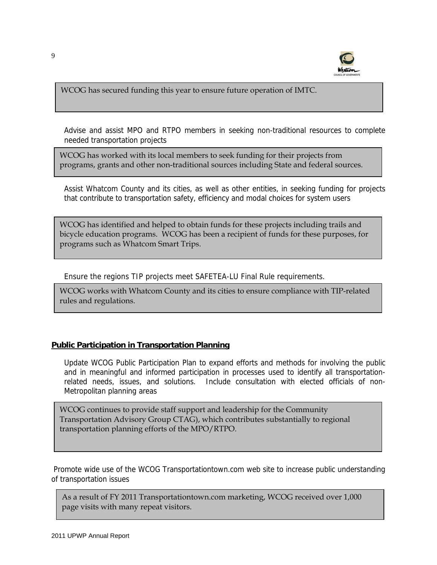

WCOG has secured funding this year to ensure future operation of IMTC.

Advise and assist MPO and RTPO members in seeking non-traditional resources to complete needed transportation projects

WCOG has worked with its local members to seek funding for their projects from programs, grants and other non-traditional sources including State and federal sources.

Assist Whatcom County and its cities, as well as other entities, in seeking funding for projects that contribute to transportation safety, efficiency and modal choices for system users

WCOG has identified and helped to obtain funds for these projects including trails and bicycle education programs. WCOG has been a recipient of funds for these purposes, for programs such as Whatcom Smart Trips.

Ensure the regions TIP projects meet SAFETEA-LU Final Rule requirements.

WCOG works with Whatcom County and its cities to ensure compliance with TIP-related rules and regulations.

#### **Public Participation in Transportation Planning**

Update WCOG Public Participation Plan to expand efforts and methods for involving the public and in meaningful and informed participation in processes used to identify all transportationrelated needs, issues, and solutions. Include consultation with elected officials of non-Metropolitan planning areas

WCOG continues to provide staff support and leadership for the Community Transportation Advisory Group CTAG), which contributes substantially to regional transportation planning efforts of the MPO/RTPO.

Promote wide use of the WCOG Transportationtown.com web site to increase public understanding of transportation issues

As a result of FY 2011 Transportationtown.com marketing, WCOG received over 1,000 page visits with many repeat visitors.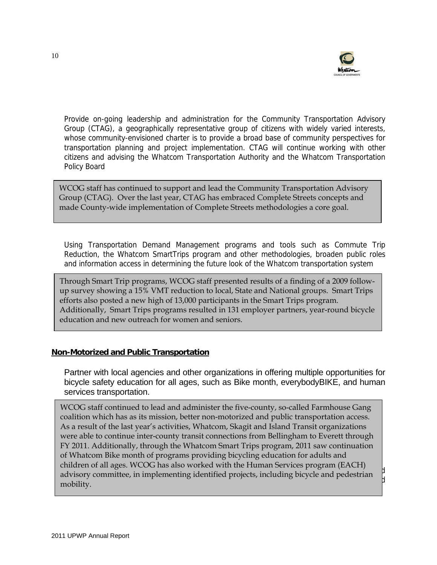

Provide on-going leadership and administration for the Community Transportation Advisory Group (CTAG), a geographically representative group of citizens with widely varied interests, whose community-envisioned charter is to provide a broad base of community perspectives for transportation planning and project implementation. CTAG will continue working with other citizens and advising the Whatcom Transportation Authority and the Whatcom Transportation Policy Board

WCOG staff has continued to support and lead the Community Transportation Advisory Group (CTAG). Over the last year, CTAG has embraced Complete Streets concepts and made County-wide implementation of Complete Streets methodologies a core goal.

Using Transportation Demand Management programs and tools such as Commute Trip Reduction, the Whatcom SmartTrips program and other methodologies, broaden public roles and information access in determining the future look of the Whatcom transportation system

Through Smart Trip programs, WCOG staff presented results of a finding of a 2009 followup survey showing a 15% VMT reduction to local, State and National groups. Smart Trips efforts also posted a new high of 13,000 participants in the Smart Trips program. Additionally, Smart Trips programs resulted in 131 employer partners, year-round bicycle education and new outreach for women and seniors.

#### **Non-Motorized and Public Transportation**

 Partner with local agencies and other organizations in offering multiple opportunities for bicycle safety education for all ages, such as Bike month, everybodyBIKE, and human services transportation.

 $R_{\text{recon}}$  committee in implementing identified quoiecte including highed and nedectrics advisory committee, in implementing identified projects, including bicycle and pedestrian  $\int\limits_{1}^{1}$  $t_{\rm t}$  transportation improvements associated with regional development patterns associated with regional development patterns associated with regional development patterns associated with regional development  $\alpha$ WCOG staff continued to lead and administer the five-county, so-called Farmhouse Gang coalition which has as its mission, better non-motorized and public transportation access. As a result of the last year's activities, Whatcom, Skagit and Island Transit organizations were able to continue inter-county transit connections from Bellingham to Everett through FY 2011. Additionally, through the Whatcom Smart Trips program, 2011 saw continuation of Whatcom Bike month of programs providing bicycling education for adults and children of all ages. WCOG has also worked with the Human Services program (EACH) mobility.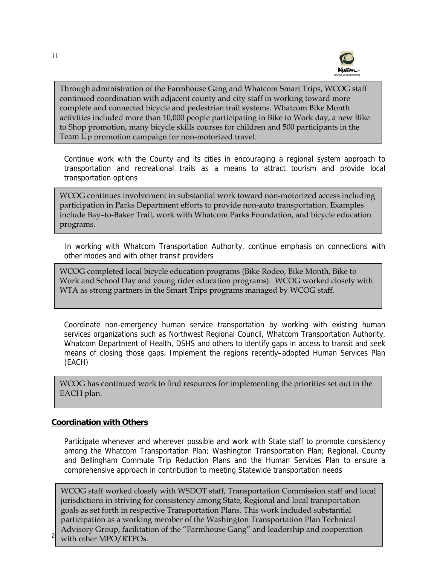

Through administration of the Farmhouse Gang and Whatcom Smart Trips, WCOG staff continued coordination with adjacent county and city staff in working toward more complete and connected bicycle and pedestrian trail systems. Whatcom Bike Month activities included more than 10,000 people participating in Bike to Work day, a new Bike to Shop promotion, many bicycle skills courses for children and 500 participants in the Team Up promotion campaign for non-motorized travel.

Continue work with the County and its cities in encouraging a regional system approach to transportation and recreational trails as a means to attract tourism and provide local transportation options

WCOG continues involvement in substantial work toward non-motorized access including participation in Parks Department efforts to provide non-auto transportation. Examples include Bay–to-Baker Trail, work with Whatcom Parks Foundation, and bicycle education programs.

In working with Whatcom Transportation Authority, continue emphasis on connections with other modes and with other transit providers

WCOG completed local bicycle education programs (Bike Rodeo, Bike Month, Bike to Work and School Day and young rider education programs). WCOG worked closely with WTA as strong partners in the Smart Trips programs managed by WCOG staff.

Coordinate non-emergency human service transportation by working with existing human services organizations such as Northwest Regional Council, Whatcom Transportation Authority, Whatcom Department of Health, DSHS and others to identify gaps in access to transit and seek means of closing those gaps. Implement the regions recently–adopted Human Services Plan (EACH)

WCOG has continued work to find resources for implementing the priorities set out in the EACH plan.

#### **Coordination with Others**

Participate whenever and wherever possible and work with State staff to promote consistency among the Whatcom Transportation Plan; Washington Transportation Plan; Regional, County and Bellingham Commute Trip Reduction Plans and the Human Services Plan to ensure a comprehensive approach in contribution to meeting Statewide transportation needs

 $2 \times 10^{17}$  with other MPO/RTPOs. WCOG staff worked closely with WSDOT staff, Transportation Commission staff and local jurisdictions in striving for consistency among State, Regional and local transportation goals as set forth in respective Transportation Plans. This work included substantial participation as a working member of the Washington Transportation Plan Technical Advisory Group, facilitation of the "Farmhouse Gang" and leadership and cooperation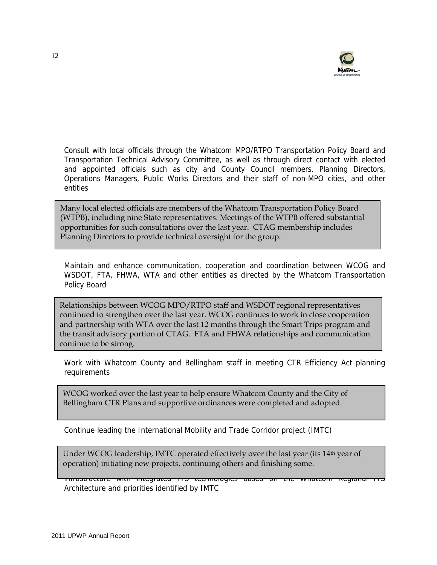

Consult with local officials through the Whatcom MPO/RTPO Transportation Policy Board and Transportation Technical Advisory Committee, as well as through direct contact with elected and appointed officials such as city and County Council members, Planning Directors, Operations Managers, Public Works Directors and their staff of non-MPO cities, and other entities

Many local elected officials are members of the Whatcom Transportation Policy Board (WTPB), including nine State representatives. Meetings of the WTPB offered substantial opportunities for such consultations over the last year. CTAG membership includes Planning Directors to provide technical oversight for the group.

Maintain and enhance communication, cooperation and coordination between WCOG and WSDOT, FTA, FHWA, WTA and other entities as directed by the Whatcom Transportation Policy Board

Relationships between WCOG MPO/RTPO staff and WSDOT regional representatives continued to strengthen over the last year. WCOG continues to work in close cooperation and partnership with WTA over the last 12 months through the Smart Trips program and the transit advisory portion of CTAG. FTA and FHWA relationships and communication continue to be strong.

Work with Whatcom County and Bellingham staff in meeting CTR Efficiency Act planning requirements

WCOG worked over the last year to help ensure Whatcom County and the City of Bellingham CTR Plans and supportive ordinances were completed and adopted.

Continue leading the International Mobility and Trade Corridor project (IMTC)

operation) initiating new projects, continuing others and finishing some. Under WCOG leadership, IMTC operated effectively over the last year (its 14th year of

infrastructure with integrated ITS technologies based on the Whatcom Regional ITS Architecture and priorities identified by IMTC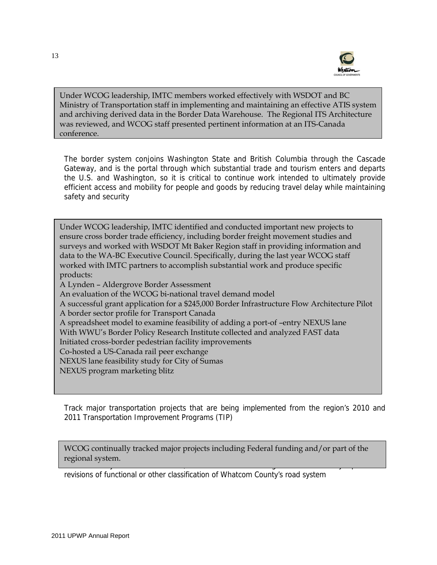

Under WCOG leadership, IMTC members worked effectively with WSDOT and BC Ministry of Transportation staff in implementing and maintaining an effective ATIS system and archiving derived data in the Border Data Warehouse. The Regional ITS Architecture was reviewed, and WCOG staff presented pertinent information at an ITS-Canada conference.

The border system conjoins Washington State and British Columbia through the Cascade Gateway, and is the portal through which substantial trade and tourism enters and departs the U.S. and Washington, so it is critical to continue work intended to ultimately provide efficient access and mobility for people and goods by reducing travel delay while maintaining safety and security

Under WCOG leadership, IMTC identified and conducted important new projects to ensure cross border trade efficiency, including border freight movement studies and surveys and worked with WSDOT Mt Baker Region staff in providing information and data to the WA-BC Executive Council. Specifically, during the last year WCOG staff worked with IMTC partners to accomplish substantial work and produce specific products: A Lynden – Aldergrove Border Assessment An evaluation of the WCOG bi-national travel demand model A successful grant application for a \$245,000 Border Infrastructure Flow Architecture Pilot A border sector profile for Transport Canada A spreadsheet model to examine feasibility of adding a port-of –entry NEXUS lane With WWU's Border Policy Research Institute collected and analyzed FAST data

Initiated cross-border pedestrian facility improvements

Co-hosted a US-Canada rail peer exchange

NEXUS lane feasibility study for City of Sumas

NEXUS program marketing blitz

Track major transportation projects that are being implemented from the region's 2010 and 2011 Transportation Improvement Programs (TIP)

Provide timely assistance to MPO/RTPO members including WSDOT with any updates or WCOG continually tracked major projects including Federal funding and/or part of the regional system.

revisions of functional or other classification of Whatcom County's road system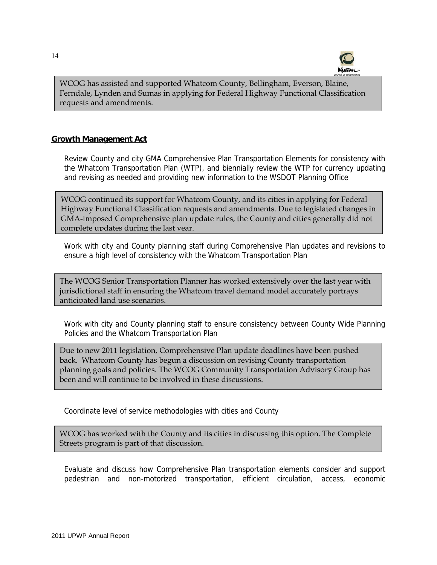

WCOG has assisted and supported Whatcom County, Bellingham, Everson, Blaine, Ferndale, Lynden and Sumas in applying for Federal Highway Functional Classification requests and amendments.

### **Growth Management Act**

Review County and city GMA Comprehensive Plan Transportation Elements for consistency with the Whatcom Transportation Plan (WTP), and biennially review the WTP for currency updating and revising as needed and providing new information to the WSDOT Planning Office

WCOG continued its support for Whatcom County, and its cities in applying for Federal Highway Functional Classification requests and amendments. Due to legislated changes in GMA-imposed Comprehensive plan update rules, the County and cities generally did not complete updates during the last year.

Work with city and County planning staff during Comprehensive Plan updates and revisions to ensure a high level of consistency with the Whatcom Transportation Plan

The WCOG Senior Transportation Planner has worked extensively over the last year with jurisdictional staff in ensuring the Whatcom travel demand model accurately portrays anticipated land use scenarios.

Work with city and County planning staff to ensure consistency between County Wide Planning Policies and the Whatcom Transportation Plan

Due to new 2011 legislation, Comprehensive Plan update deadlines have been pushed back. Whatcom County has begun a discussion on revising County transportation planning goals and policies. The WCOG Community Transportation Advisory Group has been and will continue to be involved in these discussions.

Coordinate level of service methodologies with cities and County

WCOG has worked with the County and its cities in discussing this option. The Complete Streets program is part of that discussion.

Evaluate and discuss how Comprehensive Plan transportation elements consider and support pedestrian and non-motorized transportation, efficient circulation, access, economic

֒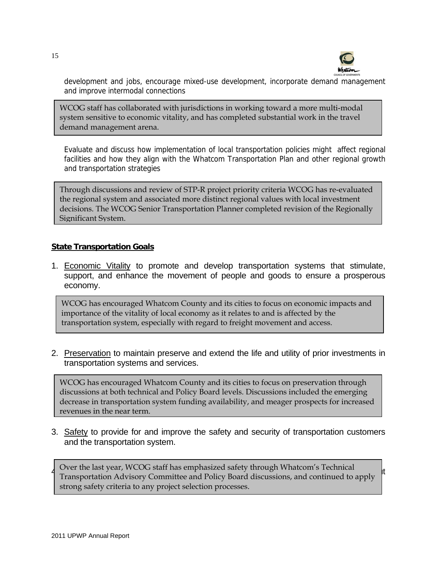

development and jobs, encourage mixed-use development, incorporate demand management and improve intermodal connections

WCOG staff has collaborated with jurisdictions in working toward a more multi-modal system sensitive to economic vitality, and has completed substantial work in the travel demand management arena.

Evaluate and discuss how implementation of local transportation policies might affect regional facilities and how they align with the Whatcom Transportation Plan and other regional growth and transportation strategies

Through discussions and review of STP-R project priority criteria WCOG has re-evaluated the regional system and associated more distinct regional values with local investment decisions. The WCOG Senior Transportation Planner completed revision of the Regionally Significant System.

#### **State Transportation Goals**

1. Economic Vitality to promote and develop transportation systems that stimulate, support, and enhance the movement of people and goods to ensure a prosperous economy.

WCOG has encouraged Whatcom County and its cities to focus on economic impacts and importance of the vitality of local economy as it relates to and is affected by the transportation system, especially with regard to freight movement and access.

2. Preservation to maintain preserve and extend the life and utility of prior investments in transportation systems and services.

WCOG has encouraged Whatcom County and its cities to focus on preservation through discussions at both technical and Policy Board levels. Discussions included the emerging decrease in transportation system funding availability, and meager prospects for increased revenues in the near term.

3. Safety to provide for and improve the safety and security of transportation customers and the transportation system.

 $\frac{1}{4}$  Over the last year, WCOG starf has emphasized safety through Whatcom's Technical  $\frac{1}{4}$ Transportation Advisory Committee and Foncy board.<br>strong safety criteria to any project selection processes. Over the last year, WCOG staff has emphasized safety through Whatcom's Technical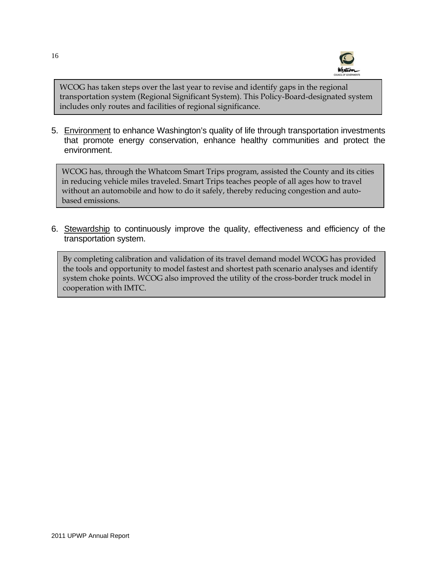

WCOG has taken steps over the last year to revise and identify gaps in the regional transportation system (Regional Significant System). This Policy-Board-designated system includes only routes and facilities of regional significance.

5. Environment to enhance Washington's quality of life through transportation investments that promote energy conservation, enhance healthy communities and protect the environment.

WCOG has, through the Whatcom Smart Trips program, assisted the County and its cities in reducing vehicle miles traveled. Smart Trips teaches people of all ages how to travel without an automobile and how to do it safely, thereby reducing congestion and autobased emissions.

6. Stewardship to continuously improve the quality, effectiveness and efficiency of the transportation system.

By completing calibration and validation of its travel demand model WCOG has provided the tools and opportunity to model fastest and shortest path scenario analyses and identify system choke points. WCOG also improved the utility of the cross-border truck model in cooperation with IMTC.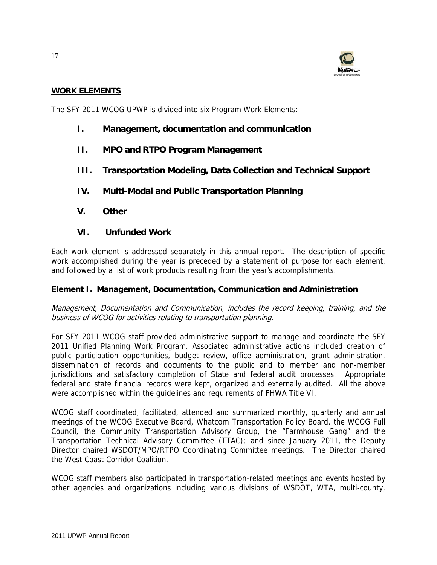

#### **WORK ELEMENTS**

The SFY 2011 WCOG UPWP is divided into six Program Work Elements:

- **I. Management, documentation and communication**
- **II. MPO and RTPO Program Management**
- **III. Transportation Modeling, Data Collection and Technical Support**
- **IV. Multi-Modal and Public Transportation Planning**
- **V. Other**
- **VI. Unfunded Work**

Each work element is addressed separately in this annual report. The description of specific work accomplished during the year is preceded by a statement of purpose for each element, and followed by a list of work products resulting from the year's accomplishments.

#### **Element I. Management, Documentation, Communication and Administration**

Management, Documentation and Communication, includes the record keeping, training, and the business of WCOG for activities relating to transportation planning.

For SFY 2011 WCOG staff provided administrative support to manage and coordinate the SFY 2011 Unified Planning Work Program. Associated administrative actions included creation of public participation opportunities, budget review, office administration, grant administration, dissemination of records and documents to the public and to member and non-member jurisdictions and satisfactory completion of State and federal audit processes. Appropriate federal and state financial records were kept, organized and externally audited. All the above were accomplished within the guidelines and requirements of FHWA Title VI.

WCOG staff coordinated, facilitated, attended and summarized monthly, quarterly and annual meetings of the WCOG Executive Board, Whatcom Transportation Policy Board, the WCOG Full Council, the Community Transportation Advisory Group, the "Farmhouse Gang" and the Transportation Technical Advisory Committee (TTAC); and since January 2011, the Deputy Director chaired WSDOT/MPO/RTPO Coordinating Committee meetings. The Director chaired the West Coast Corridor Coalition.

WCOG staff members also participated in transportation-related meetings and events hosted by other agencies and organizations including various divisions of WSDOT, WTA, multi-county,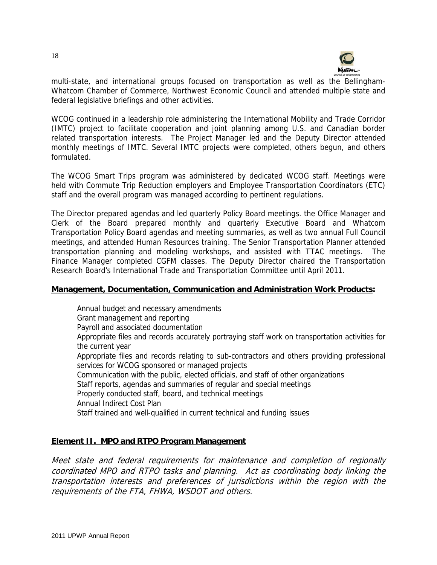

multi-state, and international groups focused on transportation as well as the Bellingham-Whatcom Chamber of Commerce, Northwest Economic Council and attended multiple state and federal legislative briefings and other activities.

WCOG continued in a leadership role administering the International Mobility and Trade Corridor (IMTC) project to facilitate cooperation and joint planning among U.S. and Canadian border related transportation interests. The Project Manager led and the Deputy Director attended monthly meetings of IMTC. Several IMTC projects were completed, others begun, and others formulated.

The WCOG Smart Trips program was administered by dedicated WCOG staff. Meetings were held with Commute Trip Reduction employers and Employee Transportation Coordinators (ETC) staff and the overall program was managed according to pertinent regulations.

The Director prepared agendas and led quarterly Policy Board meetings. the Office Manager and Clerk of the Board prepared monthly and quarterly Executive Board and Whatcom Transportation Policy Board agendas and meeting summaries, as well as two annual Full Council meetings, and attended Human Resources training. The Senior Transportation Planner attended transportation planning and modeling workshops, and assisted with TTAC meetings. The Finance Manager completed CGFM classes. The Deputy Director chaired the Transportation Research Board's International Trade and Transportation Committee until April 2011.

#### **Management, Documentation, Communication and Administration Work Products:**

Annual budget and necessary amendments Grant management and reporting Payroll and associated documentation Appropriate files and records accurately portraying staff work on transportation activities for the current year Appropriate files and records relating to sub-contractors and others providing professional services for WCOG sponsored or managed projects Communication with the public, elected officials, and staff of other organizations Staff reports, agendas and summaries of regular and special meetings Properly conducted staff, board, and technical meetings Annual Indirect Cost Plan Staff trained and well-qualified in current technical and funding issues

# **Element II. MPO and RTPO Program Management**

Meet state and federal requirements for maintenance and completion of regionally coordinated MPO and RTPO tasks and planning. Act as coordinating body linking the transportation interests and preferences of jurisdictions within the region with the requirements of the FTA, FHWA, WSDOT and others.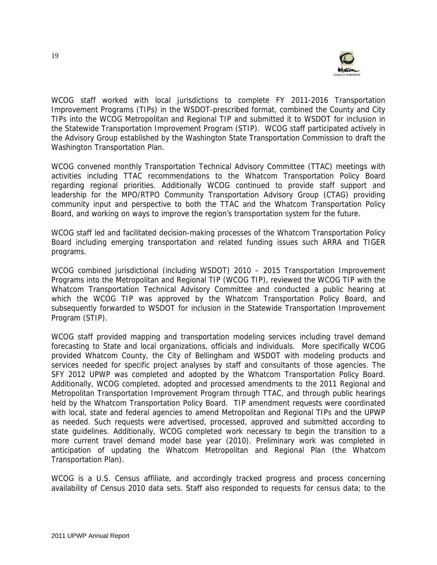

WCOG staff worked with local jurisdictions to complete FY 2011-2016 Transportation Improvement Programs (TIPs) in the WSDOT-prescribed format, combined the County and City TIPs into the WCOG Metropolitan and Regional TIP and submitted it to WSDOT for inclusion in the Statewide Transportation Improvement Program (STIP). WCOG staff participated actively in the Advisory Group established by the Washington State Transportation Commission to draft the Washington Transportation Plan.

WCOG convened monthly Transportation Technical Advisory Committee (TTAC) meetings with activities including TTAC recommendations to the Whatcom Transportation Policy Board regarding regional priorities. Additionally WCOG continued to provide staff support and leadership for the MPO/RTPO Community Transportation Advisory Group (CTAG) providing community input and perspective to both the TTAC and the Whatcom Transportation Policy Board, and working on ways to improve the region's transportation system for the future.

WCOG staff led and facilitated decision-making processes of the Whatcom Transportation Policy Board including emerging transportation and related funding issues such ARRA and TIGER programs.

WCOG combined jurisdictional (including WSDOT) 2010 – 2015 Transportation Improvement Programs into the Metropolitan and Regional TIP (WCOG TIP), reviewed the WCOG TIP with the Whatcom Transportation Technical Advisory Committee and conducted a public hearing at which the WCOG TIP was approved by the Whatcom Transportation Policy Board, and subsequently forwarded to WSDOT for inclusion in the Statewide Transportation Improvement Program (STIP).

WCOG staff provided mapping and transportation modeling services including travel demand forecasting to State and local organizations, officials and individuals. More specifically WCOG provided Whatcom County, the City of Bellingham and WSDOT with modeling products and services needed for specific project analyses by staff and consultants of those agencies. The SFY 2012 UPWP was completed and adopted by the Whatcom Transportation Policy Board. Additionally, WCOG completed, adopted and processed amendments to the 2011 Regional and Metropolitan Transportation Improvement Program through TTAC, and through public hearings held by the Whatcom Transportation Policy Board. TIP amendment requests were coordinated with local, state and federal agencies to amend Metropolitan and Regional TIPs and the UPWP as needed. Such requests were advertised, processed, approved and submitted according to state guidelines. Additionally, WCOG completed work necessary to begin the transition to a more current travel demand model base year (2010). Preliminary work was completed in anticipation of updating the Whatcom Metropolitan and Regional Plan (the Whatcom Transportation Plan).

WCOG is a U.S. Census affiliate, and accordingly tracked progress and process concerning availability of Census 2010 data sets. Staff also responded to requests for census data; to the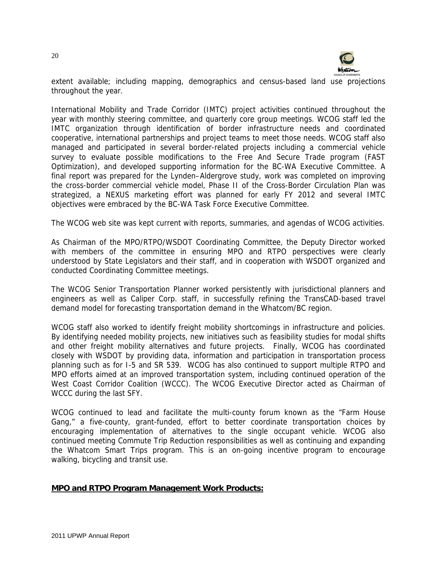

extent available; including mapping, demographics and census-based land use projections throughout the year.

International Mobility and Trade Corridor (IMTC) project activities continued throughout the year with monthly steering committee, and quarterly core group meetings. WCOG staff led the IMTC organization through identification of border infrastructure needs and coordinated cooperative, international partnerships and project teams to meet those needs. WCOG staff also managed and participated in several border-related projects including a commercial vehicle survey to evaluate possible modifications to the Free And Secure Trade program (FAST Optimization), and developed supporting information for the BC-WA Executive Committee. A final report was prepared for the Lynden–Aldergrove study, work was completed on improving the cross-border commercial vehicle model, Phase II of the Cross-Border Circulation Plan was strategized, a NEXUS marketing effort was planned for early FY 2012 and several IMTC objectives were embraced by the BC-WA Task Force Executive Committee.

The WCOG web site was kept current with reports, summaries, and agendas of WCOG activities.

As Chairman of the MPO/RTPO/WSDOT Coordinating Committee, the Deputy Director worked with members of the committee in ensuring MPO and RTPO perspectives were clearly understood by State Legislators and their staff, and in cooperation with WSDOT organized and conducted Coordinating Committee meetings.

The WCOG Senior Transportation Planner worked persistently with jurisdictional planners and engineers as well as Caliper Corp. staff, in successfully refining the TransCAD-based travel demand model for forecasting transportation demand in the Whatcom/BC region.

WCOG staff also worked to identify freight mobility shortcomings in infrastructure and policies. By identifying needed mobility projects, new initiatives such as feasibility studies for modal shifts and other freight mobility alternatives and future projects. Finally, WCOG has coordinated closely with WSDOT by providing data, information and participation in transportation process planning such as for I-5 and SR 539. WCOG has also continued to support multiple RTPO and MPO efforts aimed at an improved transportation system, including continued operation of the West Coast Corridor Coalition (WCCC). The WCOG Executive Director acted as Chairman of WCCC during the last SFY.

WCOG continued to lead and facilitate the multi-county forum known as the "Farm House Gang," a five-county, grant-funded, effort to better coordinate transportation choices by encouraging implementation of alternatives to the single occupant vehicle. WCOG also continued meeting Commute Trip Reduction responsibilities as well as continuing and expanding the Whatcom Smart Trips program. This is an on-going incentive program to encourage walking, bicycling and transit use.

#### **MPO and RTPO Program Management Work Products:**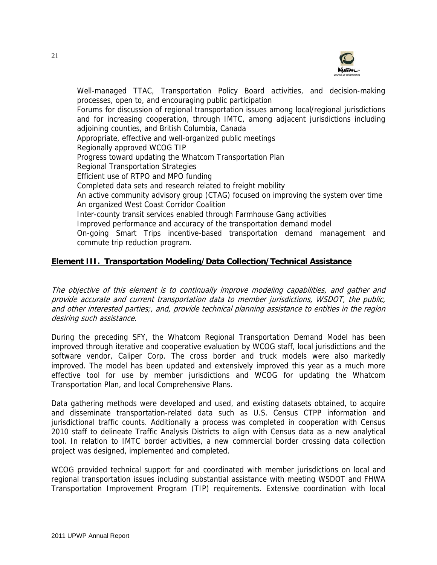

Well-managed TTAC, Transportation Policy Board activities, and decision-making processes, open to, and encouraging public participation Forums for discussion of regional transportation issues among local/regional jurisdictions and for increasing cooperation, through IMTC, among adjacent jurisdictions including adjoining counties, and British Columbia, Canada Appropriate, effective and well-organized public meetings Regionally approved WCOG TIP Progress toward updating the Whatcom Transportation Plan Regional Transportation Strategies Efficient use of RTPO and MPO funding Completed data sets and research related to freight mobility An active community advisory group (CTAG) focused on improving the system over time An organized West Coast Corridor Coalition Inter-county transit services enabled through Farmhouse Gang activities Improved performance and accuracy of the transportation demand model On-going Smart Trips incentive-based transportation demand management and commute trip reduction program.

# **Element III. Transportation Modeling/Data Collection/Technical Assistance**

The objective of this element is to continually improve modeling capabilities, and gather and provide accurate and current transportation data to member jurisdictions, WSDOT, the public, and other interested parties;, and, provide technical planning assistance to entities in the region desiring such assistance.

During the preceding SFY, the Whatcom Regional Transportation Demand Model has been improved through iterative and cooperative evaluation by WCOG staff, local jurisdictions and the software vendor, Caliper Corp. The cross border and truck models were also markedly improved. The model has been updated and extensively improved this year as a much more effective tool for use by member jurisdictions and WCOG for updating the Whatcom Transportation Plan, and local Comprehensive Plans.

Data gathering methods were developed and used, and existing datasets obtained, to acquire and disseminate transportation-related data such as U.S. Census CTPP information and jurisdictional traffic counts. Additionally a process was completed in cooperation with Census 2010 staff to delineate Traffic Analysis Districts to align with Census data as a new analytical tool. In relation to IMTC border activities, a new commercial border crossing data collection project was designed, implemented and completed.

WCOG provided technical support for and coordinated with member jurisdictions on local and regional transportation issues including substantial assistance with meeting WSDOT and FHWA Transportation Improvement Program (TIP) requirements. Extensive coordination with local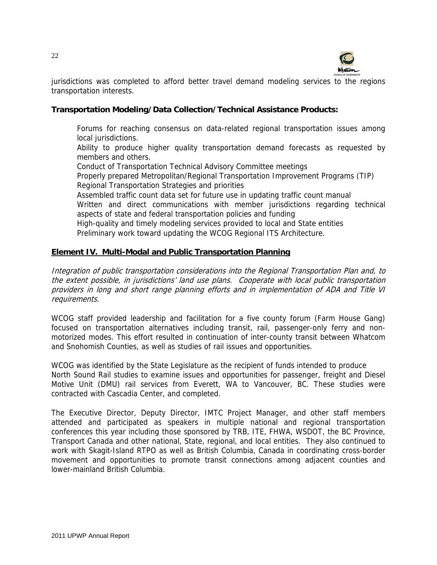

jurisdictions was completed to afford better travel demand modeling services to the regions transportation interests.

# **Transportation Modeling/Data Collection/Technical Assistance Products:**

Forums for reaching consensus on data-related regional transportation issues among local jurisdictions.

Ability to produce higher quality transportation demand forecasts as requested by members and others.

Conduct of Transportation Technical Advisory Committee meetings

Properly prepared Metropolitan/Regional Transportation Improvement Programs (TIP) Regional Transportation Strategies and priorities

Assembled traffic count data set for future use in updating traffic count manual

Written and direct communications with member jurisdictions regarding technical aspects of state and federal transportation policies and funding

High-quality and timely modeling services provided to local and State entities Preliminary work toward updating the WCOG Regional ITS Architecture.

# **Element IV. Multi-Modal and Public Transportation Planning**

Integration of public transportation considerations into the Regional Transportation Plan and, to the extent possible, in jurisdictions' land use plans. Cooperate with local public transportation providers in long and short range planning efforts and in implementation of ADA and Title VI requirements.

WCOG staff provided leadership and facilitation for a five county forum (Farm House Gang) focused on transportation alternatives including transit, rail, passenger-only ferry and nonmotorized modes. This effort resulted in continuation of inter-county transit between Whatcom and Snohomish Counties, as well as studies of rail issues and opportunities.

WCOG was identified by the State Legislature as the recipient of funds intended to produce North Sound Rail studies to examine issues and opportunities for passenger, freight and Diesel Motive Unit (DMU) rail services from Everett, WA to Vancouver, BC. These studies were contracted with Cascadia Center, and completed.

The Executive Director, Deputy Director, IMTC Project Manager, and other staff members attended and participated as speakers in multiple national and regional transportation conferences this year including those sponsored by TRB, ITE, FHWA, WSDOT, the BC Province, Transport Canada and other national, State, regional, and local entities. They also continued to work with Skagit-Island RTPO as well as British Columbia, Canada in coordinating cross-border movement and opportunities to promote transit connections among adjacent counties and lower-mainland British Columbia.

22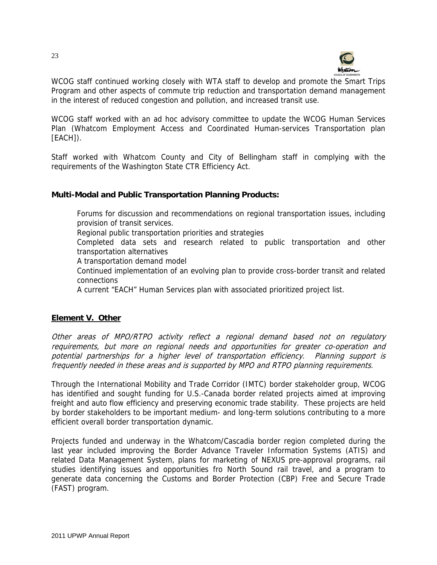

WCOG staff continued working closely with WTA staff to develop and promote the Smart Trips Program and other aspects of commute trip reduction and transportation demand management in the interest of reduced congestion and pollution, and increased transit use.

WCOG staff worked with an ad hoc advisory committee to update the WCOG Human Services Plan (Whatcom Employment Access and Coordinated Human-services Transportation plan [EACH]).

Staff worked with Whatcom County and City of Bellingham staff in complying with the requirements of the Washington State CTR Efficiency Act.

# **Multi-Modal and Public Transportation Planning Products:**

Forums for discussion and recommendations on regional transportation issues, including provision of transit services.

Regional public transportation priorities and strategies

Completed data sets and research related to public transportation and other transportation alternatives

A transportation demand model

Continued implementation of an evolving plan to provide cross-border transit and related connections

A current "EACH" Human Services plan with associated prioritized project list.

# **Element V. Other**

Other areas of MPO/RTPO activity reflect a regional demand based not on regulatory requirements, but more on regional needs and opportunities for greater co-operation and potential partnerships for a higher level of transportation efficiency. Planning support is frequently needed in these areas and is supported by MPO and RTPO planning requirements.

Through the International Mobility and Trade Corridor (IMTC) border stakeholder group, WCOG has identified and sought funding for U.S.-Canada border related projects aimed at improving freight and auto flow efficiency and preserving economic trade stability. These projects are held by border stakeholders to be important medium- and long-term solutions contributing to a more efficient overall border transportation dynamic.

Projects funded and underway in the Whatcom/Cascadia border region completed during the last year included improving the Border Advance Traveler Information Systems (ATIS) and related Data Management System, plans for marketing of NEXUS pre-approval programs, rail studies identifying issues and opportunities fro North Sound rail travel, and a program to generate data concerning the Customs and Border Protection (CBP) Free and Secure Trade (FAST) program.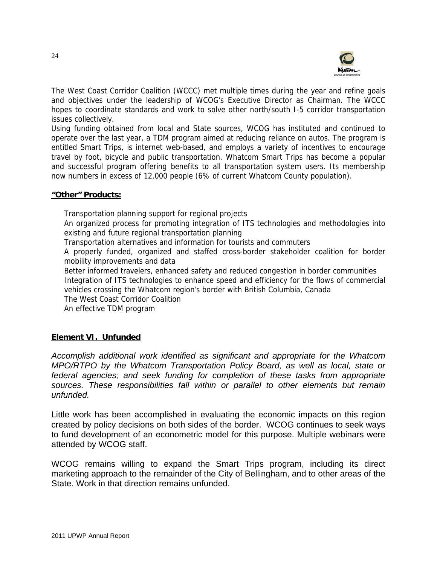

The West Coast Corridor Coalition (WCCC) met multiple times during the year and refine goals and objectives under the leadership of WCOG's Executive Director as Chairman. The WCCC hopes to coordinate standards and work to solve other north/south I-5 corridor transportation issues collectively.

Using funding obtained from local and State sources, WCOG has instituted and continued to operate over the last year, a TDM program aimed at reducing reliance on autos. The program is entitled Smart Trips, is internet web-based, and employs a variety of incentives to encourage travel by foot, bicycle and public transportation. Whatcom Smart Trips has become a popular and successful program offering benefits to all transportation system users. Its membership now numbers in excess of 12,000 people (6% of current Whatcom County population).

#### **"Other" Products:**

Transportation planning support for regional projects An organized process for promoting integration of ITS technologies and methodologies into existing and future regional transportation planning Transportation alternatives and information for tourists and commuters

A properly funded, organized and staffed cross-border stakeholder coalition for border mobility improvements and data

Better informed travelers, enhanced safety and reduced congestion in border communities Integration of ITS technologies to enhance speed and efficiency for the flows of commercial vehicles crossing the Whatcom region's border with British Columbia, Canada

The West Coast Corridor Coalition

An effective TDM program

# **Element VI. Unfunded**

*Accomplish additional work identified as significant and appropriate for the Whatcom MPO/RTPO by the Whatcom Transportation Policy Board, as well as local, state or federal agencies; and seek funding for completion of these tasks from appropriate sources. These responsibilities fall within or parallel to other elements but remain unfunded.* 

Little work has been accomplished in evaluating the economic impacts on this region created by policy decisions on both sides of the border. WCOG continues to seek ways to fund development of an econometric model for this purpose. Multiple webinars were attended by WCOG staff.

WCOG remains willing to expand the Smart Trips program, including its direct marketing approach to the remainder of the City of Bellingham, and to other areas of the State. Work in that direction remains unfunded.